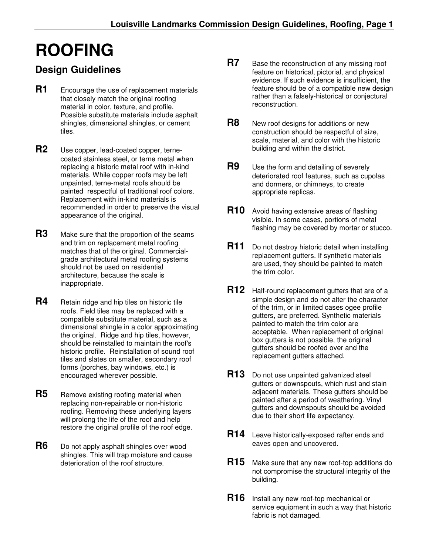## **ROOFING**

## **Design Guidelines**

- **R1** Encourage the use of replacement materials that closely match the original roofing material in color, texture, and profile. Possible substitute materials include asphalt shingles, dimensional shingles, or cement tiles.
- **R2** Use copper, lead-coated copper, ternecoated stainless steel, or terne metal when replacing a historic metal roof with in-kind materials. While copper roofs may be left unpainted, terne-metal roofs should be painted respectful of traditional roof colors. Replacement with in-kind materials is recommended in order to preserve the visual appearance of the original.
- **R3** Make sure that the proportion of the seams and trim on replacement metal roofing matches that of the original. Commercialgrade architectural metal roofing systems should not be used on residential architecture, because the scale is inappropriate.
- **R4** Retain ridge and hip tiles on historic tile roofs. Field tiles may be replaced with a compatible substitute material, such as a dimensional shingle in a color approximating the original. Ridge and hip tiles, however, should be reinstalled to maintain the roof's historic profile. Reinstallation of sound roof tiles and slates on smaller, secondary roof forms (porches, bay windows, etc.) is encouraged wherever possible.
- **R5** Remove existing roofing material when replacing non-repairable or non-historic roofing. Removing these underlying layers will prolong the life of the roof and help restore the original profile of the roof edge.
- **R6** Do not apply asphalt shingles over wood shingles. This will trap moisture and cause deterioration of the roof structure.
- **R7** Base the reconstruction of any missing roof feature on historical, pictorial, and physical evidence. If such evidence is insufficient, the feature should be of a compatible new design rather than a falsely-historical or conjectural reconstruction.
- **R8** New roof designs for additions or new construction should be respectful of size, scale, material, and color with the historic building and within the district.
- **R9** Use the form and detailing of severely deteriorated roof features, such as cupolas and dormers, or chimneys, to create appropriate replicas.
- **R10** Avoid having extensive areas of flashing visible. In some cases, portions of metal flashing may be covered by mortar or stucco.
- **R11** Do not destroy historic detail when installing replacement gutters. If synthetic materials are used, they should be painted to match the trim color.
- **R12** Half-round replacement gutters that are of a simple design and do not alter the character of the trim, or in limited cases ogee profile gutters, are preferred. Synthetic materials painted to match the trim color are acceptable. When replacement of original box gutters is not possible, the original gutters should be roofed over and the replacement gutters attached.
- **R13** Do not use unpainted galvanized steel gutters or downspouts, which rust and stain adjacent materials. These gutters should be painted after a period of weathering. Vinyl gutters and downspouts should be avoided due to their short life expectancy.
- **R14** Leave historically-exposed rafter ends and eaves open and uncovered.
- **R15** Make sure that any new roof-top additions do not compromise the structural integrity of the building.
- **R16** Install any new roof-top mechanical or service equipment in such a way that historic fabric is not damaged.